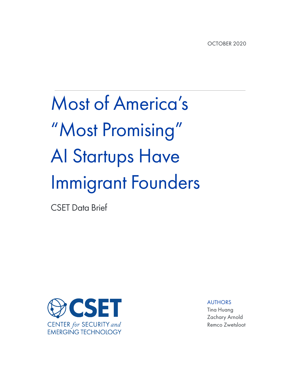# Most of America's "Most Promising" AI Startups Have Immigrant Founders

CSET Data Brief



AUTHORS

Tina Huang Zachary Arnold Remco Zwetsloot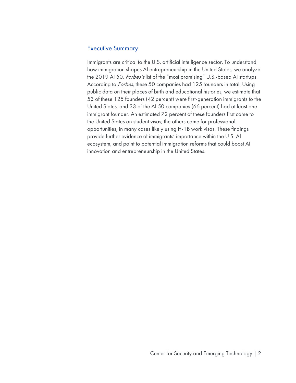## Executive Summary

Immigrants are critical to the U.S. artificial intelligence sector. To understand how immigration shapes AI entrepreneurship in the United States, we analyze the 2019 AI 50, Forbes's list of the "most promising" U.S.-based AI startups. According to *Forbes*, these 50 companies had 125 founders in total. Using public data on their places of birth and educational histories, we estimate that 53 of these 125 founders (42 percent) were first-generation immigrants to the United States, and 33 of the AI 50 companies (66 percent) had at least one immigrant founder. An estimated 72 percent of these founders first came to the United States on student visas; the others came for professional opportunities, in many cases likely using H-1B work visas. These findings provide further evidence of immigrants' importance within the U.S. AI ecosystem, and point to potential immigration reforms that could boost AI innovation and entrepreneurship in the United States.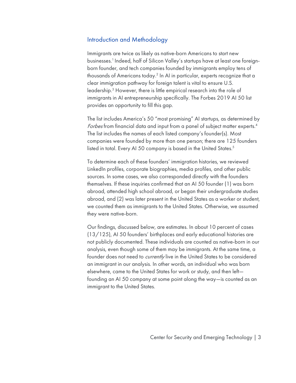### Introduction and Methodology

Immigrants are twice as likely as native-born Americans to start new businesses. <sup>1</sup> Indeed, half of Silicon Valley's startups have at least one foreignborn founder, and tech companies founded by immigrants employ tens of thousands of Americans today.2 In AI in particular, experts recognize that a clear immigration pathway for foreign talent is vital to ensure U.S. leadership.3 However, there is little empirical research into the role of immigrants in AI entrepreneurship specifically. The Forbes 2019 AI 50 list provides an opportunity to fill this gap.

The list includes America's 50 "most promising" AI startups, as determined by Forbes from financial data and input from a panel of subject matter experts.<sup>4</sup> The list includes the names of each listed company's founder(s). Most companies were founded by more than one person; there are 125 founders listed in total. Every AI 50 company is based in the United States.<sup>5</sup>

To determine each of these founders' immigration histories, we reviewed LinkedIn profiles, corporate biographies, media profiles, and other public sources. In some cases, we also corresponded directly with the founders themselves. If these inquiries confirmed that an AI 50 founder (1) was born abroad, attended high school abroad, or began their undergraduate studies abroad, and (2) was later present in the United States as a worker or student, we counted them as immigrants to the United States. Otherwise, we assumed they were native-born.

Our findings, discussed below, are estimates. In about 10 percent of cases (13/125), AI 50 founders' birthplaces and early educational histories are not publicly documented. These individuals are counted as native-born in our analysis, even though some of them may be immigrants. At the same time, a founder does not need to *currently* live in the United States to be considered an immigrant in our analysis. In other words, an individual who was born elsewhere, came to the United States for work or study, and then left founding an AI 50 company at some point along the way—is counted as an immigrant to the United States.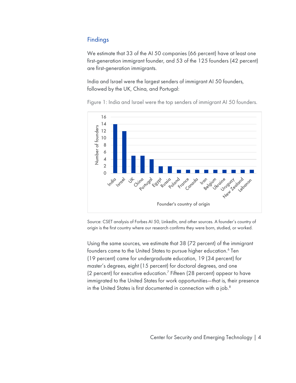## Findings

We estimate that 33 of the AI 50 companies (66 percent) have at least one first-generation immigrant founder, and 53 of the 125 founders (42 percent) are first-generation immigrants.

India and Israel were the largest senders of immigrant AI 50 founders, followed by the UK, China, and Portugal:

16 14 Number of founders Number of founders 12 10 8 6 4 2  $\Omega$ India Portugal **Israel** Chino Heat Teatrd  $\gamma_{t}$ Russia **Iran** sign Ukrain. irugua Early **Pola** France uno dran Canad Founder's country of origin

Figure 1: India and Israel were the top senders of immigrant AI 50 founders.

Source: CSET analysis of Forbes AI 50, LinkedIn, and other sources. A founder's country of origin is the first country where our research confirms they were born, studied, or worked.

Using the same sources, we estimate that 38 (72 percent) of the immigrant founders came to the United States to pursue higher education.<sup>6</sup> Ten (19 percent) came for undergraduate education, 19 (34 percent) for master's degrees, eight (15 percent) for doctoral degrees, and one (2 percent) for executive education.<sup>7</sup> Fifteen (28 percent) appear to have immigrated to the United States for work opportunities—that is, their presence in the United States is first documented in connection with a job.<sup>8</sup>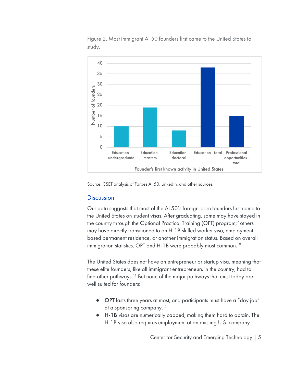

Figure 2. Most immigrant AI 50 founders first came to the United States to study.

Source: CSET analysis of Forbes AI 50, LinkedIn, and other sources.

#### **Discussion**

Our data suggests that most of the AI 50's foreign-born founders first came to the United States on student visas. After graduating, some may have stayed in the country through the Optional Practical Training (OPT) program;<sup>9</sup> others may have directly transitioned to an H-1B skilled worker visa, employmentbased permanent residence, or another immigration status. Based on overall immigration statistics, OPT and H-1B were probably most common.<sup>10</sup>

The United States does not have an entrepreneur or startup visa, meaning that these elite founders, like all immigrant entrepreneurs in the country, had to find other pathways.<sup>11</sup> But none of the major pathways that exist today are well suited for founders:

- OPT lasts three years at most, and participants must have a "day job" at a sponsoring company. $12$
- H-1B visas are numerically capped, making them hard to obtain. The H-1B visa also requires employment at an existing U.S. company.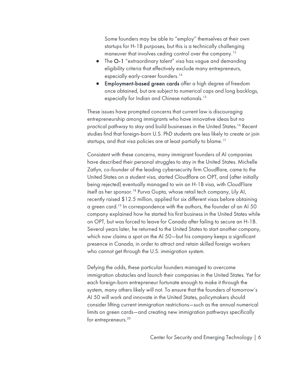Some founders may be able to "employ" themselves at their own startups for H-1B purposes, but this is a technically challenging maneuver that involves ceding control over the company.<sup>13</sup>

- The O-1 "extraordinary talent" visa has vague and demanding eligibility criteria that effectively exclude many entrepreneurs, especially early-career founders.<sup>14</sup>
- Employment-based green cards offer a high degree of freedom once obtained, but are subject to numerical caps and long backlogs, especially for Indian and Chinese nationals.<sup>15</sup>

These issues have prompted concerns that current law is discouraging entrepreneurship among immigrants who have innovative ideas but no practical pathway to stay and build businesses in the United States.<sup>16</sup> Recent studies find that foreign-born U.S. PhD students are less likely to create or join startups, and that visa policies are at least partially to blame.<sup>17</sup>

Consistent with these concerns, many immigrant founders of AI companies have described their personal struggles to stay in the United States. Michelle Zatlyn, co-founder of the leading cybersecurity firm Cloudflare, came to the United States on a student visa, started Cloudflare on OPT, and (after initially being rejected) eventually managed to win an H-1B visa, with CloudFlare itself as her sponsor.<sup>18</sup> Purva Gupta, whose retail tech company, Lily AI, recently raised \$12.5 million, applied for six different visas before obtaining a green card.<sup>19</sup> In correspondence with the authors, the founder of an AI 50 company explained how he started his first business in the United States while on OPT, but was forced to leave for Canada after failing to secure an H-1B. Several years later, he returned to the United States to start another company, which now claims a spot on the AI 50—but his company keeps a significant presence in Canada, in order to attract and retain skilled foreign workers who cannot get through the U.S. immigration system.

Defying the odds, these particular founders managed to overcome immigration obstacles and launch their companies in the United States. Yet for each foreign-born entrepreneur fortunate enough to make it through the system, many others likely will not. To ensure that the founders of tomorrow's AI 50 will work and innovate in the United States, policymakers should consider lifting current immigration restrictions—such as the annual numerical limits on green cards—and creating new immigration pathways specifically for entrepreneurs.<sup>20</sup>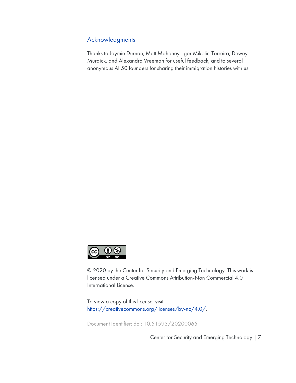## Acknowledgments

Thanks to Jaymie Durnan, Matt Mahoney, Igor Mikolic-Torreira, Dewey Murdick, and Alexandra Vreeman for useful feedback, and to several anonymous AI 50 founders for sharing their immigration histories with us.



© 2020 by the Center for Security and Emerging Technology. This work is licensed under a Creative Commons Attribution-Non Commercial 4.0 International License.

To view a copy of this license, visit https://creativecommons.org/licenses/by-nc/4.0/.

Document Identifier: doi: 10.51593/20200065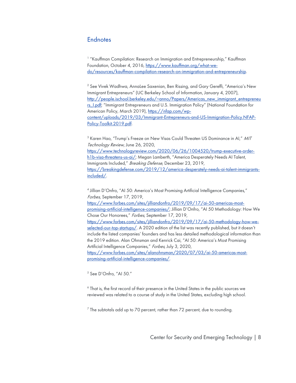### **Endnotes**

<sup>1</sup> "Kauffman Compilation: Research on Immigration and Entrepreneurship," Kauffman Foundation, October 4, 2016, https://www.kauffman.org/what-wedo/resources/kauffman-compilation-research-on-immigration-and-entrepreneurship.

<sup>2</sup> See Vivek Wadhwa, AnnaLee Saxenian, Ben Rissing, and Gary Gereffi, "America's New Immigrant Entrepreneurs" (UC Berkeley School of Information, January 4, 2007), http://people.ischool.berkeley.edu/~anno/Papers/Americas\_new\_immigrant\_entrepreneu rs\_I.pdf; "Immigrant Entrepreneurs and U.S. Immigration Policy" (National Foundation for American Policy, March 2019), https://nfap.com/wpcontent/uploads/2019/03/Immigrant-Entrepreneurs-and-US-Immigration-Policy.NFAP-Policy-Toolkit.2019.pdf.

<sup>3</sup> Karen Hao, "Trump's Freeze on New Visas Could Threaten US Dominance in AI," MIT Technology Review, June 26, 2020, https://www.technologyreview.com/2020/06/26/1004520/trump-executive-orderh1b-visa-threatens-us-ai/; Megan Lamberth, "America Desperately Needs AI Talent, Immigrants Included," Breaking Defense, December 23, 2019, https://breakingdefense.com/2019/12/america-desperately-needs-ai-talent-immigrantsincluded/.

<sup>4</sup> Jillian D'Onfro, "AI 50: America's Most Promising Artificial Intelligence Companies," Forbes, September 17, 2019, https://www.forbes.com/sites/jilliandonfro/2019/09/17/ai-50-americas-mostpromising-artificial-intelligence-companies/; Jillian D'Onfro, "AI 50 Methodology: How We Chose Our Honorees," Forbes, September 17, 2019, https://www.forbes.com/sites/jilliandonfro/2019/09/17/ai-50-methodology-how-weselected-our-top-startups/. A 2020 edition of the list was recently published, but it doesn't include the listed companies' founders and has less detailed methodological information than the 2019 edition. Alan Ohnsman and Kenrick Cai, "AI 50: America's Most Promising Artificial Intelligence Companies," Forbes, July 3, 2020, https://www.forbes.com/sites/alanohnsman/2020/07/03/ai-50-americas-mostpromising-artificial-intelligence-companies/.

<sup>5</sup> See D'Onfro, "AI 50."

 $6$  That is, the first record of their presence in the United States in the public sources we reviewed was related to a course of study in the United States, excluding high school.

 $7$  The subtotals add up to 70 percent, rather than 72 percent, due to rounding.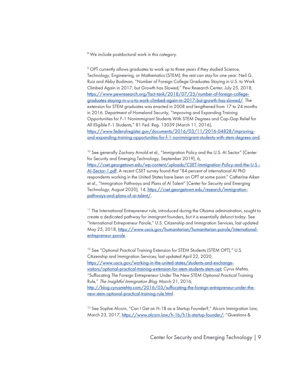<sup>8</sup> We include postdoctoral work in this category.

<sup>9</sup> OPT currently allows graduates to work up to three years if they studied Science, Technology, Engineering, or Mathematics (STEM); the rest can stay for one year. Neil G. Ruiz and Abby Budiman, "Number of Foreign College Graduates Staying in U.S. to Work Climbed Again in 2017, but Growth has Slowed," Pew Research Center, July 25, 2018, https://www.pewresearch.org/fact-tank/2018/07/25/number-of-foreign-collegegraduates-staying-in-u-s-to-work-climbed-again-in-2017-but-growth-has-slowed/. The extension for STEM graduates was enacted in 2008 and lengthened from 17 to 24 months in 2016. Department of Homeland Security, "Improving and Expanding Training Opportunities for F-1 Nonimmigrant Students With STEM Degrees and Cap-Gap Relief for All Eligible F-1 Students," 81 Fed. Reg. 13039 (March 11, 2016), https://www.federalregister.gov/documents/2016/03/11/2016-04828/improvingand-expanding-training-opportunities-for-f-1-nonimmigrant-students-with-stem-degrees-and.

<sup>10</sup> See generally Zachary Arnold et al., "Immigration Policy and the U.S. AI Sector" (Center for Security and Emerging Technology, September 2019), 6, https://cset.georgetown.edu/wp-content/uploads/CSET-Immigration-Policy-and-the-U.S.- AI-Sector-1.pdf. A recent CSET survey found that "84 percent of international AI PhD respondents working in the United States have been on OPT at some point." Catherine Aiken et al., "Immigration Pathways and Plans of AI Talent" (Center for Security and Emerging Technology, August 2020), 14, https://cset.georgetown.edu/research/immigrationpathways-and-plans-of-ai-talent/.

<sup>11</sup> The International Entrepreneur rule, introduced during the Obama administration, sought to create a dedicated pathway for immigrant founders, but it is essentially defunct today. See "International Entrepreneur Parole," U.S. Citizenship and Immigration Services, last updated May 25, 2018, https://www.uscis.gov/humanitarian/humanitarian-parole/internationalentrepreneur-parole.

<sup>12</sup> See "Optional Practical Training Extension for STEM Students (STEM OPT)," U.S. Citizenship and Immigration Services, last updated April 22, 2020, https://www.uscis.gov/working-in-the-united-states/students-and-exchangevisitors/optional-practical-training-extension-for-stem-students-stem-opt; Cyrus Mehta, "Suffocating The Foreign Entrepreneur Under The New STEM Optional Practical Training Rule," The Insightful Immigration Blog, March 21, 2016, http://blog.cyrusmehta.com/2016/03/suffocating-the-foreign-entrepreneur-under-thenew-stem-optional-practical-training-rule.html.

<sup>13</sup> See Sophie Alcorn, "Can I Get an H-1B as a Startup Founder?," Alcorn Immigration Law, March 23, 2017, https://www.alcorn.law/h-1b/h1b-startup-founder/; "Questions &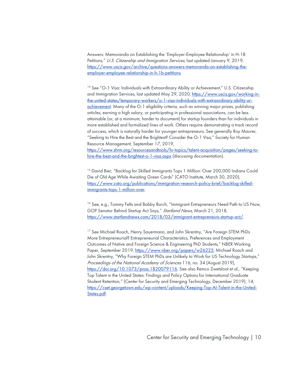Answers: Memoranda on Establishing the 'Employer-Employee Relationship' in H-1B Petitions," U.S. Citizenship and Immigration Services, last updated January 9, 2019, https://www.uscis.gov/archive/questions-answers-memoranda-on-establishing-theemployer-employee-relationship-in-h-1b-petitions.

<sup>14</sup> See "O-1 Visa: Individuals with Extraordinary Ability or Achievement," U.S. Citizenship and Immigration Services, last updated May 29, 2020, https://www.uscis.gov/working-inthe-united-states/temporary-workers/o-1-visa-individuals-with-extraordinary-ability-orachievement. Many of the O-1 eligibility criteria, such as winning major prizes, publishing articles, earning a high salary, or participating in professional associations, can be less attainable (or, at a minimum, harder to document) for startup founders than for individuals in more established and formalized lines of work. Others require demonstrating a track record of success, which is naturally harder for younger entrepreneurs. See generally Roy Maurer, "Seeking to Hire the Best and the Brightest? Consider the O-1 Visa," Society for Human Resource Management, September 17, 2019,

https://www.shrm.org/resourcesandtools/hr-topics/talent-acquisition/pages/seeking-tohire-the-best-and-the-brightest-o-1-visa.aspx (discussing documentation).

<sup>15</sup> David Bier, "Backlog for Skilled Immigrants Tops 1 Million: Over 200,000 Indians Could Die of Old Age While Awaiting Green Cards" (CATO Institute, March 30, 2020), https://www.cato.org/publications/immigration-research-policy-brief/backlog-skilledimmigrants-tops-1-million-over.

<sup>16</sup> See, e.g., Tommy Felts and Bobby Burch, "Immigrant Entrepreneurs Need Path to US Now, GOP Senator Behind Startup Act Says," Startland News, March 21, 2018, https://www.startlandnews.com/2018/03/immigrant-entrepreneurs-startup-act/.

<sup>17</sup> See Michael Roach, Henry Sauermann, and John Skrentny, "Are Foreign STEM PhDs More Entrepreneurial? Entrepreneurial Characteristics, Preferences and Employment Outcomes of Native and Foreign Science & Engineering PhD Students," NBER Working Paper, September 2019, https://www.nber.org/papers/w26225; Michael Roach and John Skrentny, "Why Foreign STEM PhDs are Unlikely to Work for US Technology Startups," Proceedings of the National Academy of Sciences 116, no. 34 (August 2019), https://doi.org/10.1073/pnas.1820079116. See also Remco Zwetsloot et al., "Keeping Top Talent in the United States: Findings and Policy Options for International Graduate Student Retention," (Center for Security and Emerging Technology, December 2019), 14, https://cset.georgetown.edu/wp-content/uploads/Keeping-Top-AI-Talent-in-the-United-States.pdf.